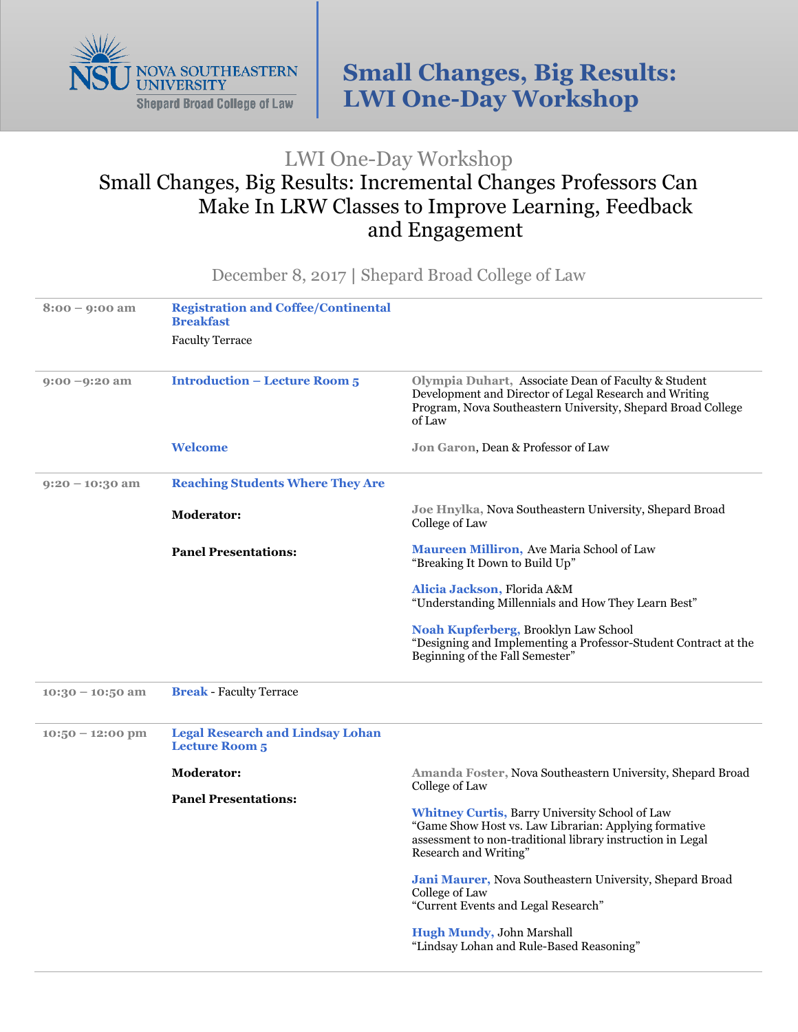

## LWI One-Day Workshop Small Changes, Big Results: Incremental Changes Professors Can Make In LRW Classes to Improve Learning, Feedback and Engagement

December 8, 2017 **|** Shepard Broad College of Law

| $8:00 - 9:00$ am   | <b>Registration and Coffee/Continental</b><br><b>Breakfast</b>   |                                                                                                                                                                                                       |
|--------------------|------------------------------------------------------------------|-------------------------------------------------------------------------------------------------------------------------------------------------------------------------------------------------------|
|                    | <b>Faculty Terrace</b>                                           |                                                                                                                                                                                                       |
| $9:00 - 9:20$ am   | <b>Introduction - Lecture Room 5</b>                             | Olympia Duhart, Associate Dean of Faculty & Student<br>Development and Director of Legal Research and Writing<br>Program, Nova Southeastern University, Shepard Broad College<br>of Law               |
|                    | <b>Welcome</b>                                                   | Jon Garon, Dean & Professor of Law                                                                                                                                                                    |
| $9:20 - 10:30$ am  | <b>Reaching Students Where They Are</b>                          |                                                                                                                                                                                                       |
|                    | <b>Moderator:</b>                                                | Joe Hnylka, Nova Southeastern University, Shepard Broad<br>College of Law                                                                                                                             |
|                    | <b>Panel Presentations:</b>                                      | <b>Maureen Milliron, Ave Maria School of Law</b><br>"Breaking It Down to Build Up"                                                                                                                    |
|                    |                                                                  | Alicia Jackson, Florida A&M<br>"Understanding Millennials and How They Learn Best"                                                                                                                    |
|                    |                                                                  | Noah Kupferberg, Brooklyn Law School<br>"Designing and Implementing a Professor-Student Contract at the<br>Beginning of the Fall Semester"                                                            |
| $10:30 - 10:50$ am | <b>Break - Faculty Terrace</b>                                   |                                                                                                                                                                                                       |
| $10:50 - 12:00$ pm | <b>Legal Research and Lindsay Lohan</b><br><b>Lecture Room 5</b> |                                                                                                                                                                                                       |
|                    | <b>Moderator:</b>                                                | Amanda Foster, Nova Southeastern University, Shepard Broad<br>College of Law                                                                                                                          |
|                    | <b>Panel Presentations:</b>                                      |                                                                                                                                                                                                       |
|                    |                                                                  | <b>Whitney Curtis, Barry University School of Law</b><br>"Game Show Host vs. Law Librarian: Applying formative<br>assessment to non-traditional library instruction in Legal<br>Research and Writing" |
|                    |                                                                  | Jani Maurer, Nova Southeastern University, Shepard Broad<br>College of Law                                                                                                                            |
|                    |                                                                  |                                                                                                                                                                                                       |
|                    |                                                                  | <b>Hugh Mundy, John Marshall</b><br>"Lindsay Lohan and Rule-Based Reasoning"                                                                                                                          |
|                    |                                                                  | "Current Events and Legal Research"                                                                                                                                                                   |